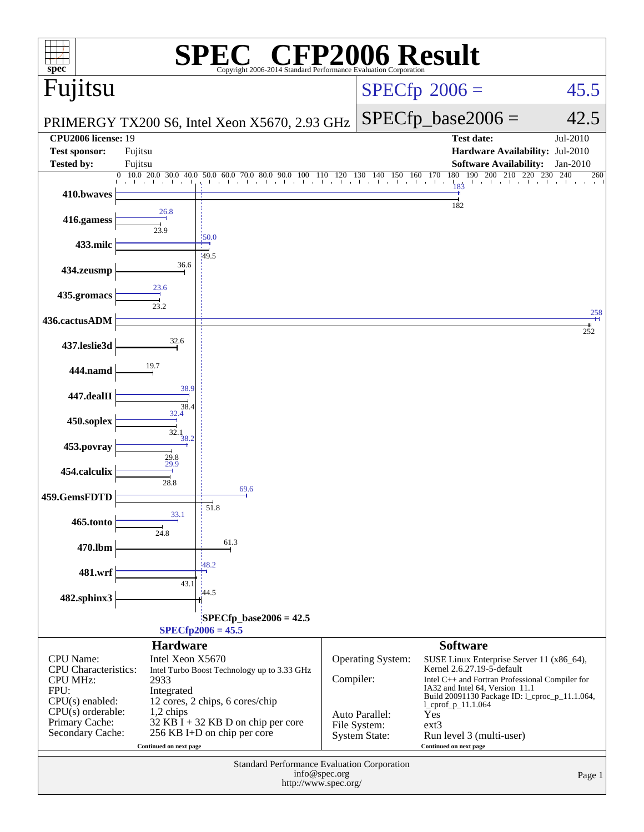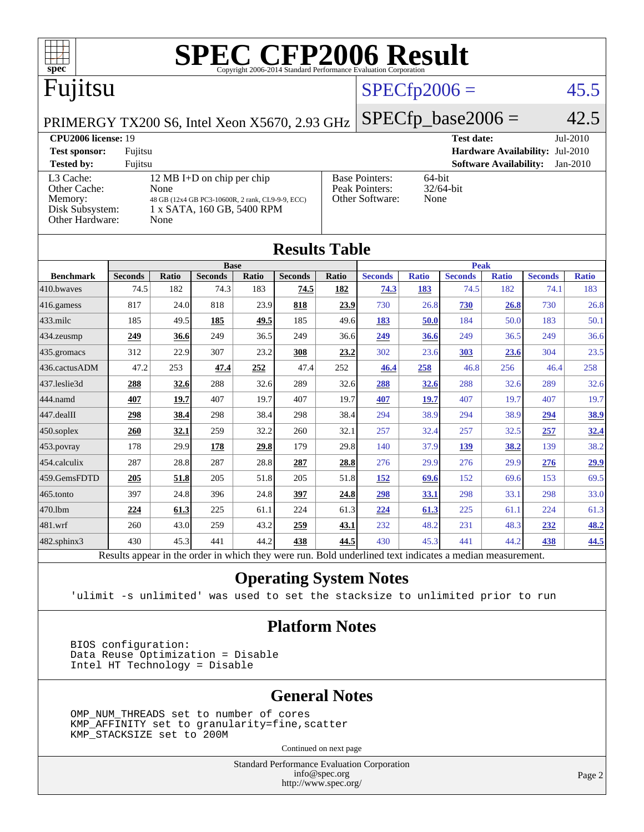

|                  |                                                                                                          |       | <b>Base</b>    |       |                |       |                |              | <b>Peak</b>    |              |                |              |
|------------------|----------------------------------------------------------------------------------------------------------|-------|----------------|-------|----------------|-------|----------------|--------------|----------------|--------------|----------------|--------------|
| <b>Benchmark</b> | <b>Seconds</b>                                                                                           | Ratio | <b>Seconds</b> | Ratio | <b>Seconds</b> | Ratio | <b>Seconds</b> | <b>Ratio</b> | <b>Seconds</b> | <b>Ratio</b> | <b>Seconds</b> | <b>Ratio</b> |
| 410.bwaves       | 74.5                                                                                                     | 182   | 74.3           | 183   | 74.5           | 182   | 74.3           | 183          | 74.5           | 182          | 74.1           | 183          |
| $416$ .gamess    | 817                                                                                                      | 24.0  | 818            | 23.9  | 818            | 23.9  | 730            | 26.8         | 730            | 26.8         | 730            | 26.8         |
| $433$ .milc      | 185                                                                                                      | 49.5  | 185            | 49.5  | 185            | 49.6  | 183            | 50.0         | 184            | 50.0         | 183            | 50.1         |
| 434.zeusmp       | 249                                                                                                      | 36.6  | 249            | 36.5  | 249            | 36.6  | 249            | 36.6         | 249            | 36.5         | 249            | 36.6         |
| $435$ .gromacs   | 312                                                                                                      | 22.9  | 307            | 23.2  | 308            | 23.2  | 302            | 23.6         | 303            | 23.6         | 304            | 23.5         |
| 436.cactusADM    | 47.2                                                                                                     | 253   | 47.4           | 252   | 47.4           | 252   | 46.4           | 258          | 46.8           | 256          | 46.4           | 258          |
| 437.leslie3d     | 288                                                                                                      | 32.6  | 288            | 32.6  | 289            | 32.6  | 288            | 32.6         | 288            | 32.6         | 289            | 32.6         |
| 444.namd         | 407                                                                                                      | 19.7  | 407            | 19.7  | 407            | 19.7  | 407            | 19.7         | 407            | 19.7         | 407            | 19.7         |
| 447.dealII       | 298                                                                                                      | 38.4  | 298            | 38.4  | 298            | 38.4  | 294            | 38.9         | 294            | 38.9         | 294            | 38.9         |
| $450$ .soplex    | 260                                                                                                      | 32.1  | 259            | 32.2  | 260            | 32.1  | 257            | 32.4         | 257            | 32.5         | 257            | 32.4         |
| $453$ .povray    | 178                                                                                                      | 29.9  | 178            | 29.8  | 179            | 29.8  | 140            | 37.9         | 139            | 38.2         | 139            | 38.2         |
| $454$ .calculix  | 287                                                                                                      | 28.8  | 287            | 28.8  | 287            | 28.8  | 276            | 29.9         | 276            | 29.9         | 276            | 29.9         |
| 459.GemsFDTD     | 205                                                                                                      | 51.8  | 205            | 51.8  | 205            | 51.8  | <u>152</u>     | 69.6         | 152            | 69.6         | 153            | 69.5         |
| $465$ .tonto     | 397                                                                                                      | 24.8  | 396            | 24.8  | 397            | 24.8  | 298            | 33.1         | 298            | 33.1         | 298            | 33.0         |
| 470.1bm          | <u>224</u>                                                                                               | 61.3  | 225            | 61.1  | 224            | 61.3  | 224            | 61.3         | 225            | 61.1         | 224            | 61.3         |
| $ 481$ .wrf      | 260                                                                                                      | 43.0  | 259            | 43.2  | 259            | 43.1  | 232            | 48.2         | 231            | 48.3         | 232            | 48.2         |
| 482.sphinx3      | 430                                                                                                      | 45.3  | 441            | 44.2  | 438            | 44.5  | 430            | 45.3         | 441            | 44.2         | 438            | 44.5         |
|                  | Results appear in the order in which they were run. Bold underlined text indicates a median measurement. |       |                |       |                |       |                |              |                |              |                |              |

### **[Operating System Notes](http://www.spec.org/auto/cpu2006/Docs/result-fields.html#OperatingSystemNotes)**

'ulimit -s unlimited' was used to set the stacksize to unlimited prior to run

### **[Platform Notes](http://www.spec.org/auto/cpu2006/Docs/result-fields.html#PlatformNotes)**

 BIOS configuration: Data Reuse Optimization = Disable Intel HT Technology = Disable

### **[General Notes](http://www.spec.org/auto/cpu2006/Docs/result-fields.html#GeneralNotes)**

 OMP\_NUM\_THREADS set to number of cores KMP\_AFFINITY set to granularity=fine,scatter KMP\_STACKSIZE set to 200M

Continued on next page

Standard Performance Evaluation Corporation [info@spec.org](mailto:info@spec.org) <http://www.spec.org/>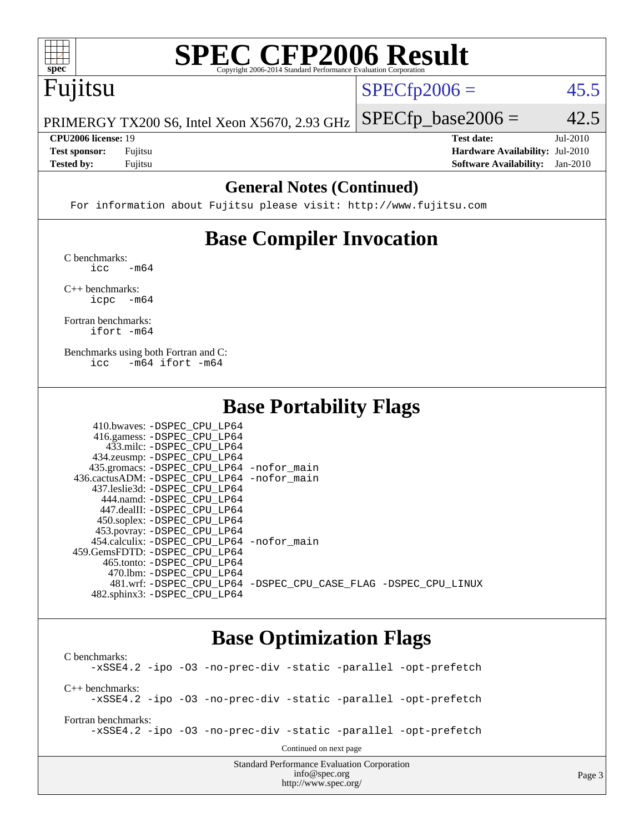

# **[SPEC CFP2006 Result](http://www.spec.org/auto/cpu2006/Docs/result-fields.html#SPECCFP2006Result)**

# Fujitsu

 $SPECTp2006 = 45.5$ 

PRIMERGY TX200 S6, Intel Xeon X5670, 2.93 GHz  $SPECfp\_base2006 = 42.5$ 

**[CPU2006 license:](http://www.spec.org/auto/cpu2006/Docs/result-fields.html#CPU2006license)** 19 **[Test date:](http://www.spec.org/auto/cpu2006/Docs/result-fields.html#Testdate)** Jul-2010 **[Test sponsor:](http://www.spec.org/auto/cpu2006/Docs/result-fields.html#Testsponsor)** Fujitsu **[Hardware Availability:](http://www.spec.org/auto/cpu2006/Docs/result-fields.html#HardwareAvailability)** Jul-2010 **[Tested by:](http://www.spec.org/auto/cpu2006/Docs/result-fields.html#Testedby)** Fujitsu **[Software Availability:](http://www.spec.org/auto/cpu2006/Docs/result-fields.html#SoftwareAvailability)** Jan-2010

### **[General Notes \(Continued\)](http://www.spec.org/auto/cpu2006/Docs/result-fields.html#GeneralNotes)**

For information about Fujitsu please visit: <http://www.fujitsu.com>

## **[Base Compiler Invocation](http://www.spec.org/auto/cpu2006/Docs/result-fields.html#BaseCompilerInvocation)**

[C benchmarks](http://www.spec.org/auto/cpu2006/Docs/result-fields.html#Cbenchmarks):  $\text{icc}$   $-\text{m64}$ 

[C++ benchmarks:](http://www.spec.org/auto/cpu2006/Docs/result-fields.html#CXXbenchmarks) [icpc -m64](http://www.spec.org/cpu2006/results/res2010q3/cpu2006-20100802-12763.flags.html#user_CXXbase_intel_icpc_64bit_bedb90c1146cab66620883ef4f41a67e)

[Fortran benchmarks](http://www.spec.org/auto/cpu2006/Docs/result-fields.html#Fortranbenchmarks): [ifort -m64](http://www.spec.org/cpu2006/results/res2010q3/cpu2006-20100802-12763.flags.html#user_FCbase_intel_ifort_64bit_ee9d0fb25645d0210d97eb0527dcc06e)

[Benchmarks using both Fortran and C](http://www.spec.org/auto/cpu2006/Docs/result-fields.html#BenchmarksusingbothFortranandC): [icc -m64](http://www.spec.org/cpu2006/results/res2010q3/cpu2006-20100802-12763.flags.html#user_CC_FCbase_intel_icc_64bit_0b7121f5ab7cfabee23d88897260401c) [ifort -m64](http://www.spec.org/cpu2006/results/res2010q3/cpu2006-20100802-12763.flags.html#user_CC_FCbase_intel_ifort_64bit_ee9d0fb25645d0210d97eb0527dcc06e)

### **[Base Portability Flags](http://www.spec.org/auto/cpu2006/Docs/result-fields.html#BasePortabilityFlags)**

| 410.bwaves: -DSPEC CPU LP64                |                                                                |
|--------------------------------------------|----------------------------------------------------------------|
| 416.gamess: -DSPEC_CPU_LP64                |                                                                |
| 433.milc: -DSPEC CPU LP64                  |                                                                |
| 434.zeusmp: -DSPEC_CPU_LP64                |                                                                |
| 435.gromacs: -DSPEC_CPU_LP64 -nofor_main   |                                                                |
| 436.cactusADM: -DSPEC CPU LP64 -nofor main |                                                                |
| 437.leslie3d: -DSPEC CPU LP64              |                                                                |
| 444.namd: -DSPEC CPU LP64                  |                                                                |
| 447.dealII: -DSPEC CPU LP64                |                                                                |
| 450.soplex: -DSPEC_CPU_LP64                |                                                                |
| 453.povray: -DSPEC_CPU_LP64                |                                                                |
| 454.calculix: -DSPEC CPU LP64 -nofor main  |                                                                |
| 459. GemsFDTD: - DSPEC CPU LP64            |                                                                |
| 465.tonto: -DSPEC CPU LP64                 |                                                                |
| 470.1bm: - DSPEC CPU LP64                  |                                                                |
|                                            | 481.wrf: -DSPEC CPU_LP64 -DSPEC_CPU_CASE_FLAG -DSPEC_CPU_LINUX |
| 482.sphinx3: -DSPEC CPU LP64               |                                                                |

### **[Base Optimization Flags](http://www.spec.org/auto/cpu2006/Docs/result-fields.html#BaseOptimizationFlags)**

Standard Performance Evaluation Corporation [C benchmarks](http://www.spec.org/auto/cpu2006/Docs/result-fields.html#Cbenchmarks): [-xSSE4.2](http://www.spec.org/cpu2006/results/res2010q3/cpu2006-20100802-12763.flags.html#user_CCbase_f-xSSE42_f91528193cf0b216347adb8b939d4107) [-ipo](http://www.spec.org/cpu2006/results/res2010q3/cpu2006-20100802-12763.flags.html#user_CCbase_f-ipo) [-O3](http://www.spec.org/cpu2006/results/res2010q3/cpu2006-20100802-12763.flags.html#user_CCbase_f-O3) [-no-prec-div](http://www.spec.org/cpu2006/results/res2010q3/cpu2006-20100802-12763.flags.html#user_CCbase_f-no-prec-div) [-static](http://www.spec.org/cpu2006/results/res2010q3/cpu2006-20100802-12763.flags.html#user_CCbase_f-static) [-parallel](http://www.spec.org/cpu2006/results/res2010q3/cpu2006-20100802-12763.flags.html#user_CCbase_f-parallel) [-opt-prefetch](http://www.spec.org/cpu2006/results/res2010q3/cpu2006-20100802-12763.flags.html#user_CCbase_f-opt-prefetch) [C++ benchmarks:](http://www.spec.org/auto/cpu2006/Docs/result-fields.html#CXXbenchmarks) [-xSSE4.2](http://www.spec.org/cpu2006/results/res2010q3/cpu2006-20100802-12763.flags.html#user_CXXbase_f-xSSE42_f91528193cf0b216347adb8b939d4107) [-ipo](http://www.spec.org/cpu2006/results/res2010q3/cpu2006-20100802-12763.flags.html#user_CXXbase_f-ipo) [-O3](http://www.spec.org/cpu2006/results/res2010q3/cpu2006-20100802-12763.flags.html#user_CXXbase_f-O3) [-no-prec-div](http://www.spec.org/cpu2006/results/res2010q3/cpu2006-20100802-12763.flags.html#user_CXXbase_f-no-prec-div) [-static](http://www.spec.org/cpu2006/results/res2010q3/cpu2006-20100802-12763.flags.html#user_CXXbase_f-static) [-parallel](http://www.spec.org/cpu2006/results/res2010q3/cpu2006-20100802-12763.flags.html#user_CXXbase_f-parallel) [-opt-prefetch](http://www.spec.org/cpu2006/results/res2010q3/cpu2006-20100802-12763.flags.html#user_CXXbase_f-opt-prefetch) [Fortran benchmarks](http://www.spec.org/auto/cpu2006/Docs/result-fields.html#Fortranbenchmarks): [-xSSE4.2](http://www.spec.org/cpu2006/results/res2010q3/cpu2006-20100802-12763.flags.html#user_FCbase_f-xSSE42_f91528193cf0b216347adb8b939d4107) [-ipo](http://www.spec.org/cpu2006/results/res2010q3/cpu2006-20100802-12763.flags.html#user_FCbase_f-ipo) [-O3](http://www.spec.org/cpu2006/results/res2010q3/cpu2006-20100802-12763.flags.html#user_FCbase_f-O3) [-no-prec-div](http://www.spec.org/cpu2006/results/res2010q3/cpu2006-20100802-12763.flags.html#user_FCbase_f-no-prec-div) [-static](http://www.spec.org/cpu2006/results/res2010q3/cpu2006-20100802-12763.flags.html#user_FCbase_f-static) [-parallel](http://www.spec.org/cpu2006/results/res2010q3/cpu2006-20100802-12763.flags.html#user_FCbase_f-parallel) [-opt-prefetch](http://www.spec.org/cpu2006/results/res2010q3/cpu2006-20100802-12763.flags.html#user_FCbase_f-opt-prefetch) Continued on next page

[info@spec.org](mailto:info@spec.org) <http://www.spec.org/>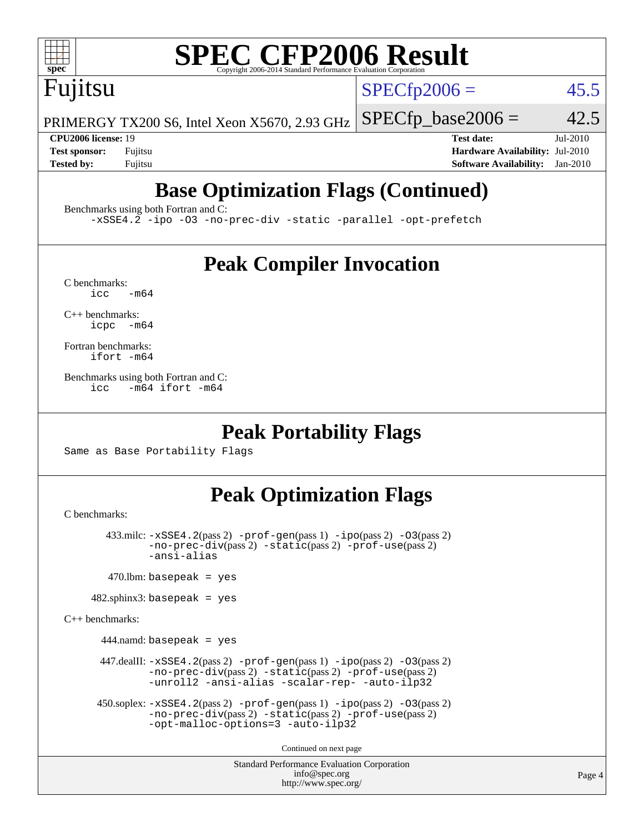

# **[SPEC CFP2006 Result](http://www.spec.org/auto/cpu2006/Docs/result-fields.html#SPECCFP2006Result)**

Fujitsu

 $SPECTp2006 = 45.5$ 

PRIMERGY TX200 S6, Intel Xeon X5670, 2.93 GHz  $SPECfp\_base2006 = 42.5$ 

**[CPU2006 license:](http://www.spec.org/auto/cpu2006/Docs/result-fields.html#CPU2006license)** 19 **[Test date:](http://www.spec.org/auto/cpu2006/Docs/result-fields.html#Testdate)** Jul-2010 **[Test sponsor:](http://www.spec.org/auto/cpu2006/Docs/result-fields.html#Testsponsor)** Fujitsu **[Hardware Availability:](http://www.spec.org/auto/cpu2006/Docs/result-fields.html#HardwareAvailability)** Jul-2010 **[Tested by:](http://www.spec.org/auto/cpu2006/Docs/result-fields.html#Testedby)** Fujitsu **[Software Availability:](http://www.spec.org/auto/cpu2006/Docs/result-fields.html#SoftwareAvailability)** Jan-2010

# **[Base Optimization Flags \(Continued\)](http://www.spec.org/auto/cpu2006/Docs/result-fields.html#BaseOptimizationFlags)**

[Benchmarks using both Fortran and C](http://www.spec.org/auto/cpu2006/Docs/result-fields.html#BenchmarksusingbothFortranandC):

[-xSSE4.2](http://www.spec.org/cpu2006/results/res2010q3/cpu2006-20100802-12763.flags.html#user_CC_FCbase_f-xSSE42_f91528193cf0b216347adb8b939d4107) [-ipo](http://www.spec.org/cpu2006/results/res2010q3/cpu2006-20100802-12763.flags.html#user_CC_FCbase_f-ipo) [-O3](http://www.spec.org/cpu2006/results/res2010q3/cpu2006-20100802-12763.flags.html#user_CC_FCbase_f-O3) [-no-prec-div](http://www.spec.org/cpu2006/results/res2010q3/cpu2006-20100802-12763.flags.html#user_CC_FCbase_f-no-prec-div) [-static](http://www.spec.org/cpu2006/results/res2010q3/cpu2006-20100802-12763.flags.html#user_CC_FCbase_f-static) [-parallel](http://www.spec.org/cpu2006/results/res2010q3/cpu2006-20100802-12763.flags.html#user_CC_FCbase_f-parallel) [-opt-prefetch](http://www.spec.org/cpu2006/results/res2010q3/cpu2006-20100802-12763.flags.html#user_CC_FCbase_f-opt-prefetch)

### **[Peak Compiler Invocation](http://www.spec.org/auto/cpu2006/Docs/result-fields.html#PeakCompilerInvocation)**

 $C$  benchmarks:<br>icc  $-m64$ 

[C++ benchmarks:](http://www.spec.org/auto/cpu2006/Docs/result-fields.html#CXXbenchmarks) [icpc -m64](http://www.spec.org/cpu2006/results/res2010q3/cpu2006-20100802-12763.flags.html#user_CXXpeak_intel_icpc_64bit_bedb90c1146cab66620883ef4f41a67e)

[Fortran benchmarks](http://www.spec.org/auto/cpu2006/Docs/result-fields.html#Fortranbenchmarks): [ifort -m64](http://www.spec.org/cpu2006/results/res2010q3/cpu2006-20100802-12763.flags.html#user_FCpeak_intel_ifort_64bit_ee9d0fb25645d0210d97eb0527dcc06e)

[Benchmarks using both Fortran and C](http://www.spec.org/auto/cpu2006/Docs/result-fields.html#BenchmarksusingbothFortranandC): [icc -m64](http://www.spec.org/cpu2006/results/res2010q3/cpu2006-20100802-12763.flags.html#user_CC_FCpeak_intel_icc_64bit_0b7121f5ab7cfabee23d88897260401c) [ifort -m64](http://www.spec.org/cpu2006/results/res2010q3/cpu2006-20100802-12763.flags.html#user_CC_FCpeak_intel_ifort_64bit_ee9d0fb25645d0210d97eb0527dcc06e)

### **[Peak Portability Flags](http://www.spec.org/auto/cpu2006/Docs/result-fields.html#PeakPortabilityFlags)**

Same as Base Portability Flags

### **[Peak Optimization Flags](http://www.spec.org/auto/cpu2006/Docs/result-fields.html#PeakOptimizationFlags)**

[C benchmarks](http://www.spec.org/auto/cpu2006/Docs/result-fields.html#Cbenchmarks):

```
 433.milc: -xSSE4.2(pass 2) -prof-gen(pass 1) -ipo(pass 2) -O3(pass 2)
-no-prec-div(pass 2) -static(pass 2) -prof-use(pass 2)
-ansi-alias
```
 $470$ .lbm: basepeak = yes

 $482$ .sphinx3: basepeak = yes

[C++ benchmarks:](http://www.spec.org/auto/cpu2006/Docs/result-fields.html#CXXbenchmarks)

 $444$ .namd: basepeak = yes

 447.dealII: [-xSSE4.2](http://www.spec.org/cpu2006/results/res2010q3/cpu2006-20100802-12763.flags.html#user_peakPASS2_CXXFLAGSPASS2_LDFLAGS447_dealII_f-xSSE42_f91528193cf0b216347adb8b939d4107)(pass 2) [-prof-gen](http://www.spec.org/cpu2006/results/res2010q3/cpu2006-20100802-12763.flags.html#user_peakPASS1_CXXFLAGSPASS1_LDFLAGS447_dealII_prof_gen_e43856698f6ca7b7e442dfd80e94a8fc)(pass 1) [-ipo](http://www.spec.org/cpu2006/results/res2010q3/cpu2006-20100802-12763.flags.html#user_peakPASS2_CXXFLAGSPASS2_LDFLAGS447_dealII_f-ipo)(pass 2) [-O3](http://www.spec.org/cpu2006/results/res2010q3/cpu2006-20100802-12763.flags.html#user_peakPASS2_CXXFLAGSPASS2_LDFLAGS447_dealII_f-O3)(pass 2) [-no-prec-div](http://www.spec.org/cpu2006/results/res2010q3/cpu2006-20100802-12763.flags.html#user_peakPASS2_CXXFLAGSPASS2_LDFLAGS447_dealII_f-no-prec-div)(pass 2) [-static](http://www.spec.org/cpu2006/results/res2010q3/cpu2006-20100802-12763.flags.html#user_peakPASS2_CXXFLAGSPASS2_LDFLAGS447_dealII_f-static)(pass 2) [-prof-use](http://www.spec.org/cpu2006/results/res2010q3/cpu2006-20100802-12763.flags.html#user_peakPASS2_CXXFLAGSPASS2_LDFLAGS447_dealII_prof_use_bccf7792157ff70d64e32fe3e1250b55)(pass 2) [-unroll2](http://www.spec.org/cpu2006/results/res2010q3/cpu2006-20100802-12763.flags.html#user_peakOPTIMIZE447_dealII_f-unroll_784dae83bebfb236979b41d2422d7ec2) [-ansi-alias](http://www.spec.org/cpu2006/results/res2010q3/cpu2006-20100802-12763.flags.html#user_peakOPTIMIZE447_dealII_f-ansi-alias) [-scalar-rep-](http://www.spec.org/cpu2006/results/res2010q3/cpu2006-20100802-12763.flags.html#user_peakOPTIMIZE447_dealII_f-disablescalarrep_abbcad04450fb118e4809c81d83c8a1d) [-auto-ilp32](http://www.spec.org/cpu2006/results/res2010q3/cpu2006-20100802-12763.flags.html#user_peakCXXOPTIMIZE447_dealII_f-auto-ilp32)

```
 450.soplex: -xSSE4.2(pass 2) -prof-gen(pass 1) -ipo(pass 2) -O3(pass 2)
 -no-prec-div(pass 2) -static(pass 2) -prof-use(pass 2)
 -opt-malloc-options=3 -auto-ilp32
```
Continued on next page

Standard Performance Evaluation Corporation [info@spec.org](mailto:info@spec.org) <http://www.spec.org/>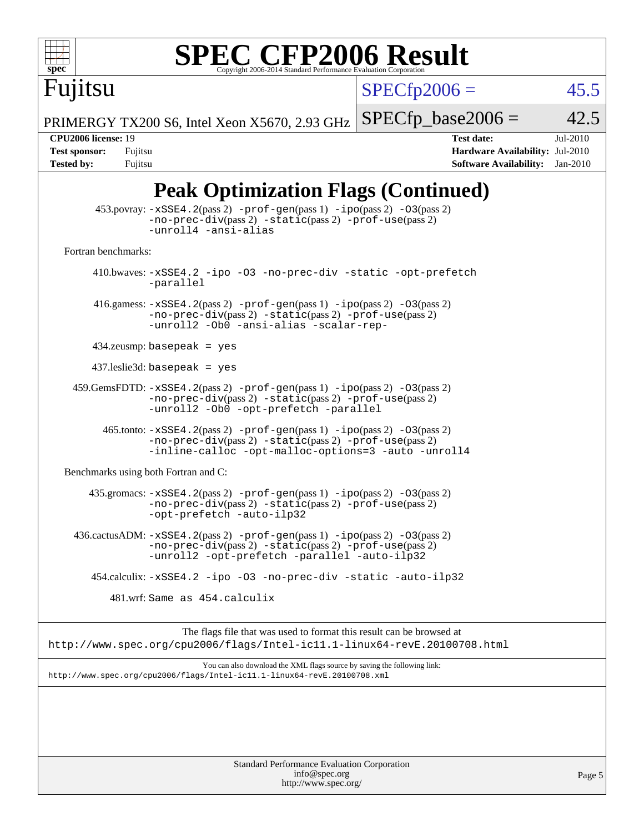

# **[SPEC CFP2006 Result](http://www.spec.org/auto/cpu2006/Docs/result-fields.html#SPECCFP2006Result)**

 $SPECfp2006 = 45.5$  $SPECfp2006 = 45.5$ 

PRIMERGY TX200 S6, Intel Xeon X5670, 2.93 GHz  $SPECfp\_base2006 = 42.5$ 

Fujitsu

**[CPU2006 license:](http://www.spec.org/auto/cpu2006/Docs/result-fields.html#CPU2006license)** 19 **[Test date:](http://www.spec.org/auto/cpu2006/Docs/result-fields.html#Testdate)** Jul-2010 **[Test sponsor:](http://www.spec.org/auto/cpu2006/Docs/result-fields.html#Testsponsor)** Fujitsu **[Hardware Availability:](http://www.spec.org/auto/cpu2006/Docs/result-fields.html#HardwareAvailability)** Jul-2010 **[Tested by:](http://www.spec.org/auto/cpu2006/Docs/result-fields.html#Testedby)** Fujitsu **[Software Availability:](http://www.spec.org/auto/cpu2006/Docs/result-fields.html#SoftwareAvailability)** Jan-2010

## **[Peak Optimization Flags \(Continued\)](http://www.spec.org/auto/cpu2006/Docs/result-fields.html#PeakOptimizationFlags)**

|                                      | Standard Performance Evaluation Corporation<br>info@spec.org                                                                                                                                                                                      | Page 5 |
|--------------------------------------|---------------------------------------------------------------------------------------------------------------------------------------------------------------------------------------------------------------------------------------------------|--------|
|                                      |                                                                                                                                                                                                                                                   |        |
|                                      | http://www.spec.org/cpu2006/flags/Intel-icll.1-linux64-revE.20100708.xml                                                                                                                                                                          |        |
|                                      | You can also download the XML flags source by saving the following link:                                                                                                                                                                          |        |
|                                      | The flags file that was used to format this result can be browsed at<br>http://www.spec.org/cpu2006/flags/Intel-ic11.1-linux64-revE.20100708.html                                                                                                 |        |
|                                      | 481.wrf: Same as 454.calculix                                                                                                                                                                                                                     |        |
|                                      | 454.calculix: -xSSE4.2 -ipo -03 -no-prec-div -static -auto-ilp32                                                                                                                                                                                  |        |
|                                      | 436.cactusADM: -xSSE4.2(pass 2) -prof-gen(pass 1) -ipo(pass 2) -03(pass 2)<br>-no-prec-div(pass 2) -static(pass 2) -prof-use(pass 2)<br>-unroll2 -opt-prefetch -parallel -auto-ilp32                                                              |        |
|                                      | 435.gromacs: -xSSE4.2(pass 2) -prof-gen(pass 1) -ipo(pass 2) -03(pass 2)<br>-no-prec-div(pass 2) -static(pass 2) -prof-use(pass 2)<br>-opt-prefetch -auto-ilp32                                                                                   |        |
| Benchmarks using both Fortran and C: |                                                                                                                                                                                                                                                   |        |
|                                      | 465.tonto: -xSSE4.2(pass 2) -prof-gen(pass 1) -ipo(pass 2) -03(pass 2)<br>-no-prec-div(pass 2) -static(pass 2) -prof-use(pass 2)<br>-inline-calloc -opt-malloc-options=3 -auto -unroll4                                                           |        |
|                                      | $459. \text{GemsFDTD: } -x \text{SSE4}.2(\text{pass 2}) - \text{prof-gen(pass 1)} - \text{ipo(pass 2)} -03(\text{pass 2})$<br>$-no\text{-prec-div}(pass 2)$ $-static(pass 2)$ $-prot\text{-use}(pass 2)$<br>-unroll2 -Ob0 -opt-prefetch -parallel |        |
|                                      | $437$ .leslie3d: basepeak = yes                                                                                                                                                                                                                   |        |
|                                      | $434$ .zeusmp: basepeak = yes                                                                                                                                                                                                                     |        |
|                                      | 416.gamess: $-xSSE4$ . $2(pass 2)$ -prof-gen(pass 1) -ipo(pass 2) -03(pass 2)<br>-no-prec-div(pass 2) -static(pass 2) -prof-use(pass 2)<br>-unroll2 -Ob0 -ansi-alias -scalar-rep-                                                                 |        |
|                                      | 410.bwaves: -xSSE4.2 -ipo -03 -no-prec-div -static -opt-prefetch<br>-parallel                                                                                                                                                                     |        |
| Fortran benchmarks:                  |                                                                                                                                                                                                                                                   |        |
|                                      | 453.povray: -xSSE4.2(pass 2) -prof-gen(pass 1) -ipo(pass 2) -03(pass 2)<br>$-no\text{-prec-div}(pass 2)$ $-static(pass 2)$ $-prof\text{-use}(pass 2)$<br>-unroll4 -ansi-alias                                                                     |        |

<http://www.spec.org/>